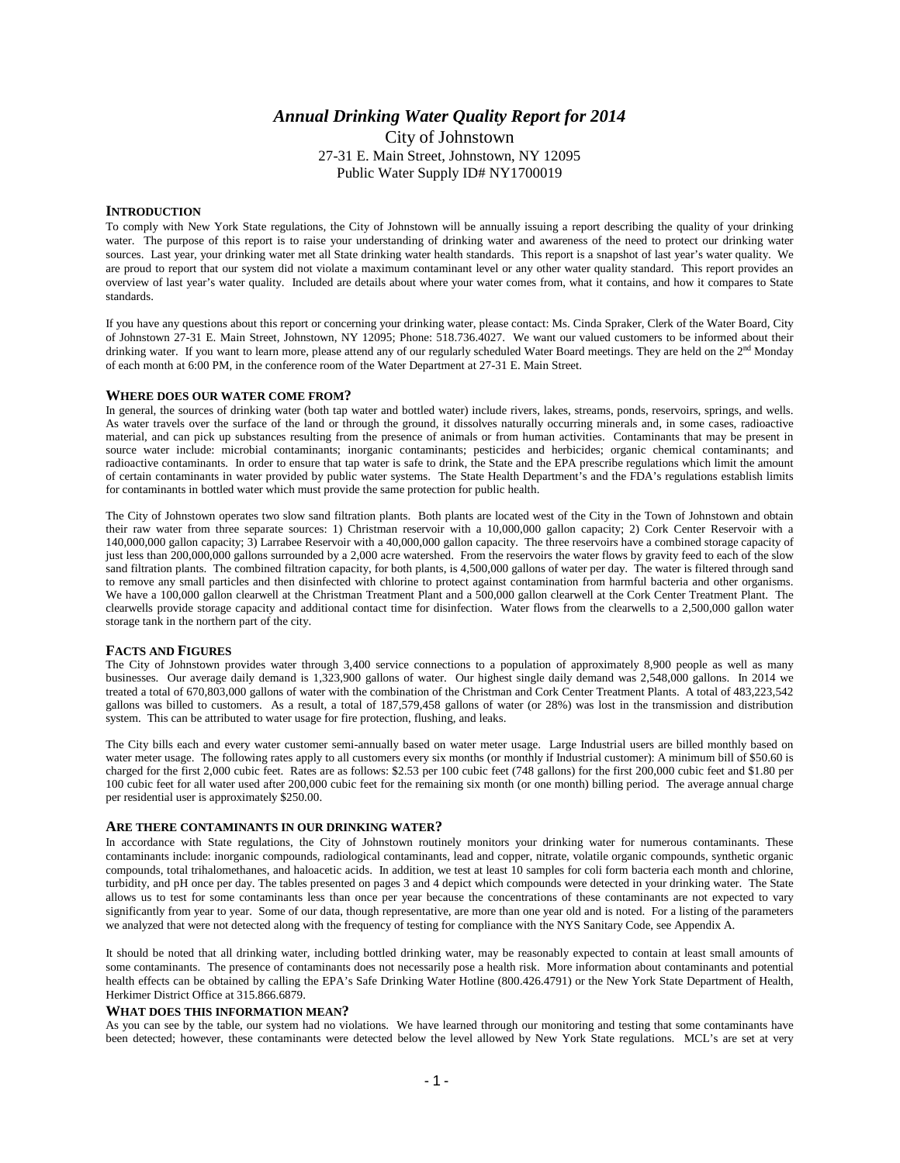# *Annual Drinking Water Quality Report for 2014*

City of Johnstown 27-31 E. Main Street, Johnstown, NY 12095 Public Water Supply ID# NY1700019

## **INTRODUCTION**

To comply with New York State regulations, the City of Johnstown will be annually issuing a report describing the quality of your drinking water. The purpose of this report is to raise your understanding of drinking water and awareness of the need to protect our drinking water sources. Last year, your drinking water met all State drinking water health standards. This report is a snapshot of last year's water quality. We are proud to report that our system did not violate a maximum contaminant level or any other water quality standard. This report provides an overview of last year's water quality. Included are details about where your water comes from, what it contains, and how it compares to State standards.

If you have any questions about this report or concerning your drinking water, please contact: Ms. Cinda Spraker, Clerk of the Water Board, City of Johnstown 27-31 E. Main Street, Johnstown, NY 12095; Phone: 518.736.4027. We want our valued customers to be informed about their drinking water. If you want to learn more, please attend any of our regularly scheduled Water Board meetings. They are held on the 2<sup>nd</sup> Monday of each month at 6:00 PM, in the conference room of the Water Department at 27-31 E. Main Street.

### **WHERE DOES OUR WATER COME FROM?**

In general, the sources of drinking water (both tap water and bottled water) include rivers, lakes, streams, ponds, reservoirs, springs, and wells. As water travels over the surface of the land or through the ground, it dissolves naturally occurring minerals and, in some cases, radioactive material, and can pick up substances resulting from the presence of animals or from human activities. Contaminants that may be present in source water include: microbial contaminants; inorganic contaminants; pesticides and herbicides; organic chemical contaminants; and radioactive contaminants. In order to ensure that tap water is safe to drink, the State and the EPA prescribe regulations which limit the amount of certain contaminants in water provided by public water systems. The State Health Department's and the FDA's regulations establish limits for contaminants in bottled water which must provide the same protection for public health.

The City of Johnstown operates two slow sand filtration plants. Both plants are located west of the City in the Town of Johnstown and obtain their raw water from three separate sources: 1) Christman reservoir with a 10,000,000 gallon capacity; 2) Cork Center Reservoir with a 140,000,000 gallon capacity; 3) Larrabee Reservoir with a 40,000,000 gallon capacity. The three reservoirs have a combined storage capacity of just less than 200,000,000 gallons surrounded by a 2,000 acre watershed. From the reservoirs the water flows by gravity feed to each of the slow sand filtration plants. The combined filtration capacity, for both plants, is 4,500,000 gallons of water per day. The water is filtered through sand to remove any small particles and then disinfected with chlorine to protect against contamination from harmful bacteria and other organisms. We have a 100,000 gallon clearwell at the Christman Treatment Plant and a 500,000 gallon clearwell at the Cork Center Treatment Plant. The clearwells provide storage capacity and additional contact time for disinfection. Water flows from the clearwells to a 2,500,000 gallon water storage tank in the northern part of the city.

#### **FACTS AND FIGURES**

The City of Johnstown provides water through 3,400 service connections to a population of approximately 8,900 people as well as many businesses. Our average daily demand is 1,323,900 gallons of water. Our highest single daily demand was 2,548,000 gallons. In 2014 we treated a total of 670,803,000 gallons of water with the combination of the Christman and Cork Center Treatment Plants. A total of 483,223,542 gallons was billed to customers. As a result, a total of 187,579,458 gallons of water (or 28%) was lost in the transmission and distribution system. This can be attributed to water usage for fire protection, flushing, and leaks.

The City bills each and every water customer semi-annually based on water meter usage. Large Industrial users are billed monthly based on water meter usage. The following rates apply to all customers every six months (or monthly if Industrial customer): A minimum bill of \$50.60 is charged for the first 2,000 cubic feet. Rates are as follows: \$2.53 per 100 cubic feet (748 gallons) for the first 200,000 cubic feet and \$1.80 per 100 cubic feet for all water used after 200,000 cubic feet for the remaining six month (or one month) billing period. The average annual charge per residential user is approximately \$250.00.

#### **ARE THERE CONTAMINANTS IN OUR DRINKING WATER?**

In accordance with State regulations, the City of Johnstown routinely monitors your drinking water for numerous contaminants. These contaminants include: inorganic compounds, radiological contaminants, lead and copper, nitrate, volatile organic compounds, synthetic organic compounds, total trihalomethanes, and haloacetic acids. In addition, we test at least 10 samples for coli form bacteria each month and chlorine, turbidity, and pH once per day. The tables presented on pages 3 and 4 depict which compounds were detected in your drinking water. The State allows us to test for some contaminants less than once per year because the concentrations of these contaminants are not expected to vary significantly from year to year. Some of our data, though representative, are more than one year old and is noted. For a listing of the parameters we analyzed that were not detected along with the frequency of testing for compliance with the NYS Sanitary Code, see Appendix A.

It should be noted that all drinking water, including bottled drinking water, may be reasonably expected to contain at least small amounts of some contaminants. The presence of contaminants does not necessarily pose a health risk. More information about contaminants and potential health effects can be obtained by calling the EPA's Safe Drinking Water Hotline (800.426.4791) or the New York State Department of Health, Herkimer District Office at 315.866.6879.

## **WHAT DOES THIS INFORMATION MEAN?**

As you can see by the table, our system had no violations. We have learned through our monitoring and testing that some contaminants have been detected; however, these contaminants were detected below the level allowed by New York State regulations. MCL's are set at very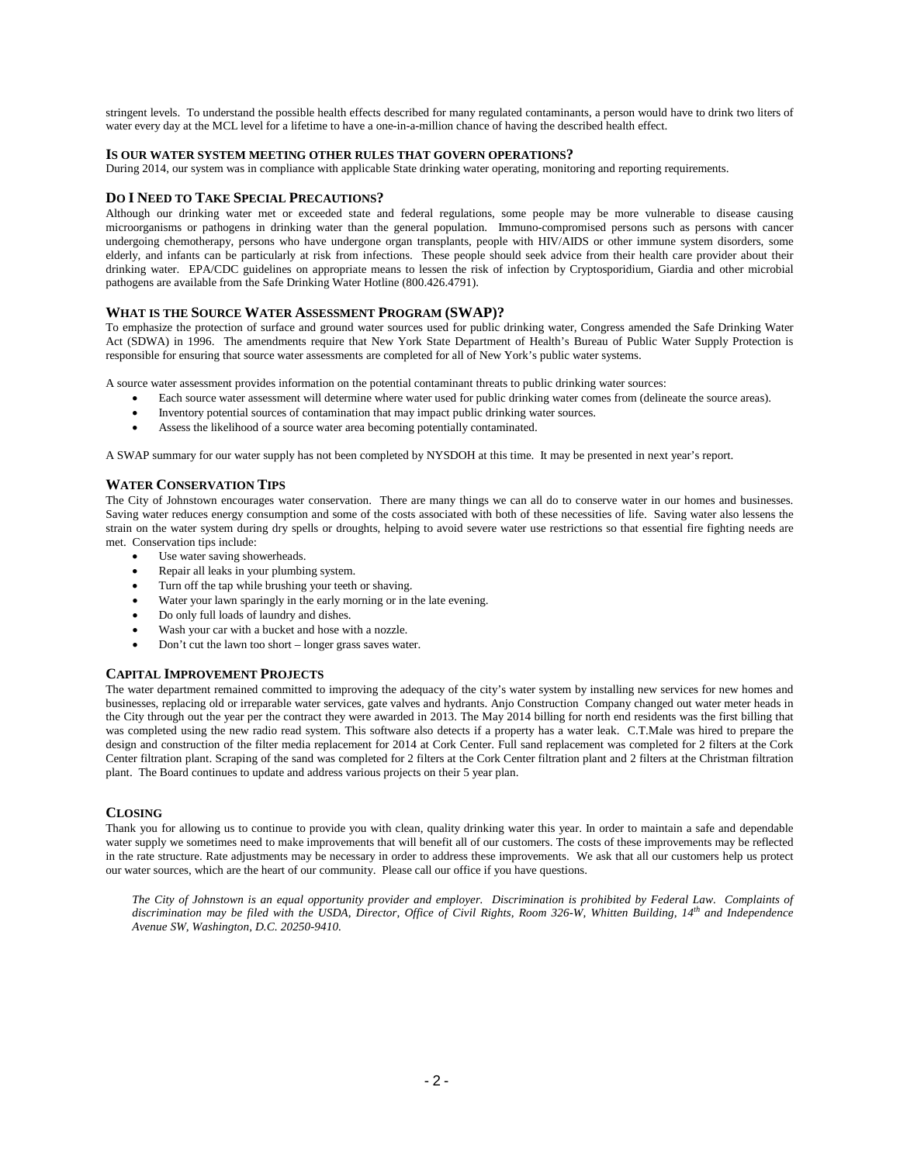stringent levels. To understand the possible health effects described for many regulated contaminants, a person would have to drink two liters of water every day at the MCL level for a lifetime to have a one-in-a-million chance of having the described health effect.

## **IS OUR WATER SYSTEM MEETING OTHER RULES THAT GOVERN OPERATIONS?**

During 2014, our system was in compliance with applicable State drinking water operating, monitoring and reporting requirements.

### **DO I NEED TO TAKE SPECIAL PRECAUTIONS?**

Although our drinking water met or exceeded state and federal regulations, some people may be more vulnerable to disease causing microorganisms or pathogens in drinking water than the general population. Immuno-compromised persons such as persons with cancer undergoing chemotherapy, persons who have undergone organ transplants, people with HIV/AIDS or other immune system disorders, some elderly, and infants can be particularly at risk from infections. These people should seek advice from their health care provider about their drinking water. EPA/CDC guidelines on appropriate means to lessen the risk of infection by Cryptosporidium, Giardia and other microbial pathogens are available from the Safe Drinking Water Hotline (800.426.4791).

### **WHAT IS THE SOURCE WATER ASSESSMENT PROGRAM (SWAP)?**

To emphasize the protection of surface and ground water sources used for public drinking water, Congress amended the Safe Drinking Water Act (SDWA) in 1996. The amendments require that New York State Department of Health's Bureau of Public Water Supply Protection is responsible for ensuring that source water assessments are completed for all of New York's public water systems.

A source water assessment provides information on the potential contaminant threats to public drinking water sources:

- Each source water assessment will determine where water used for public drinking water comes from (delineate the source areas).
- Inventory potential sources of contamination that may impact public drinking water sources.
- Assess the likelihood of a source water area becoming potentially contaminated.

A SWAP summary for our water supply has not been completed by NYSDOH at this time. It may be presented in next year's report.

### **WATER CONSERVATION TIPS**

The City of Johnstown encourages water conservation. There are many things we can all do to conserve water in our homes and businesses. Saving water reduces energy consumption and some of the costs associated with both of these necessities of life. Saving water also lessens the strain on the water system during dry spells or droughts, helping to avoid severe water use restrictions so that essential fire fighting needs are met. Conservation tips include:

- Use water saving showerheads.
- Repair all leaks in your plumbing system.
- Turn off the tap while brushing your teeth or shaving.
- Water your lawn sparingly in the early morning or in the late evening.
- Do only full loads of laundry and dishes.
- Wash your car with a bucket and hose with a nozzle.
- Don't cut the lawn too short longer grass saves water.

#### **CAPITAL IMPROVEMENT PROJECTS**

The water department remained committed to improving the adequacy of the city's water system by installing new services for new homes and businesses, replacing old or irreparable water services, gate valves and hydrants. Anjo Construction Company changed out water meter heads in the City through out the year per the contract they were awarded in 2013. The May 2014 billing for north end residents was the first billing that was completed using the new radio read system. This software also detects if a property has a water leak. C.T.Male was hired to prepare the design and construction of the filter media replacement for 2014 at Cork Center. Full sand replacement was completed for 2 filters at the Cork Center filtration plant. Scraping of the sand was completed for 2 filters at the Cork Center filtration plant and 2 filters at the Christman filtration plant. The Board continues to update and address various projects on their 5 year plan.

#### **CLOSING**

Thank you for allowing us to continue to provide you with clean, quality drinking water this year. In order to maintain a safe and dependable water supply we sometimes need to make improvements that will benefit all of our customers. The costs of these improvements may be reflected in the rate structure. Rate adjustments may be necessary in order to address these improvements. We ask that all our customers help us protect our water sources, which are the heart of our community. Please call our office if you have questions.

*The City of Johnstown is an equal opportunity provider and employer. Discrimination is prohibited by Federal Law. Complaints of discrimination may be filed with the USDA, Director, Office of Civil Rights, Room 326-W, Whitten Building, 14th and Independence Avenue SW, Washington, D.C. 20250-9410.*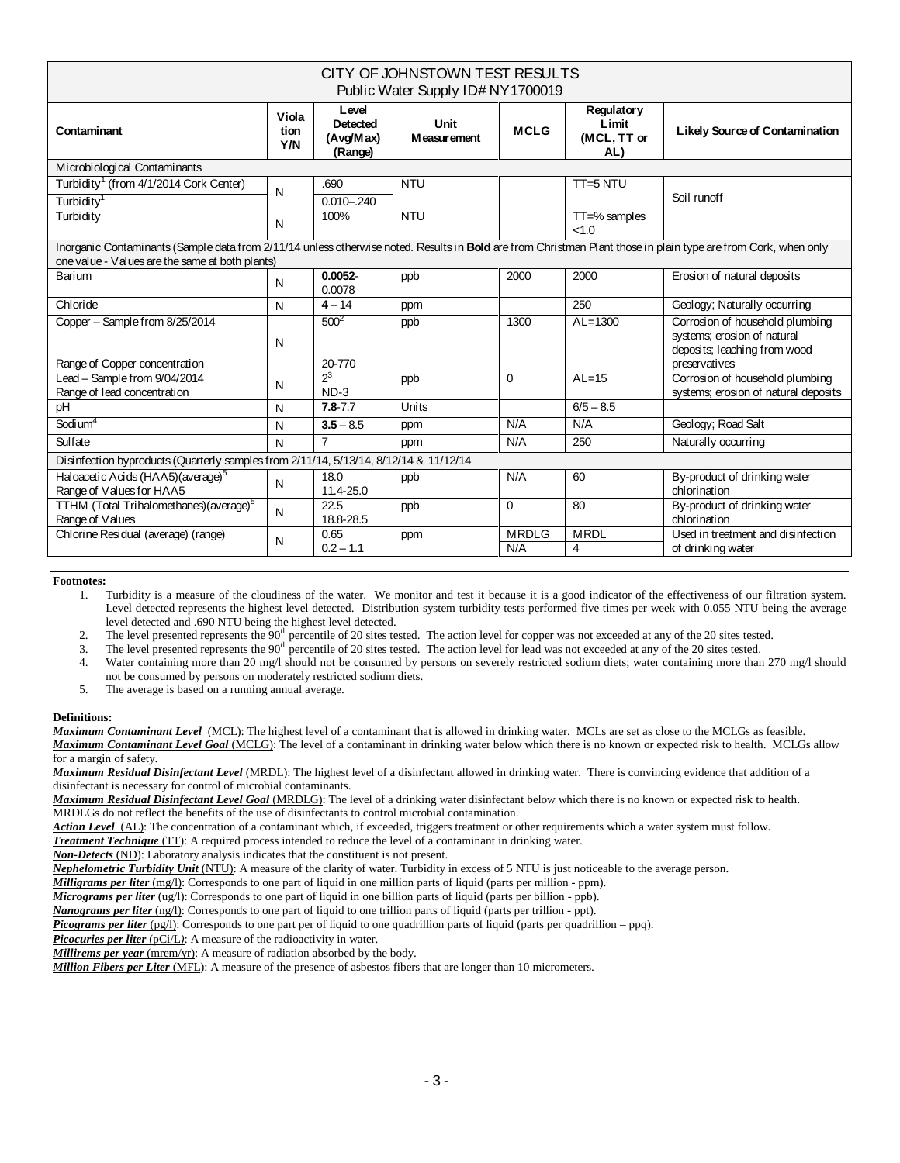| CITY OF JOHNSTOWN TEST RESULTS<br>Public Water Supply ID# NY 1700019                                                                                                                                              |                      |                                           |                            |                     |                                                  |                                                                                                                 |  |  |  |  |
|-------------------------------------------------------------------------------------------------------------------------------------------------------------------------------------------------------------------|----------------------|-------------------------------------------|----------------------------|---------------------|--------------------------------------------------|-----------------------------------------------------------------------------------------------------------------|--|--|--|--|
| Contaminant                                                                                                                                                                                                       | Viola<br>tion<br>Y/N | Level<br>Detected<br>(Avg/Max)<br>(Range) | Unit<br><b>Measurement</b> | <b>MCLG</b>         | <b>Regulatory</b><br>Limit<br>(MCL, TT or<br>AL) | Likely Source of Contamination                                                                                  |  |  |  |  |
| Microbiological Contaminants                                                                                                                                                                                      |                      |                                           |                            |                     |                                                  |                                                                                                                 |  |  |  |  |
| Turbidity <sup>1</sup> (from 4/1/2014 Cork Center)                                                                                                                                                                | N                    | .690                                      | <b>NTU</b>                 |                     | TT=5 NTU                                         |                                                                                                                 |  |  |  |  |
| Turbidity <sup>1</sup>                                                                                                                                                                                            |                      | $0.010 - 0.240$                           |                            |                     |                                                  | Soil runoff                                                                                                     |  |  |  |  |
| Turbidity                                                                                                                                                                                                         | N                    | 100%                                      | <b>NTU</b>                 |                     | $TT = %$ samples<br><1.0                         |                                                                                                                 |  |  |  |  |
| Inorganic Contaminants (Sample data from 2/11/14 unless otherwise noted. Results in Bold are from Christman Plant those in plain type are from Cork, when only<br>one value - Values are the same at both plants) |                      |                                           |                            |                     |                                                  |                                                                                                                 |  |  |  |  |
| Barium                                                                                                                                                                                                            | N                    | $0.0052 -$<br>0.0078                      | ppb                        | 2000                | 2000                                             | Erosion of natural deposits                                                                                     |  |  |  |  |
| Chloride                                                                                                                                                                                                          | N                    | $4 - 14$                                  | ppm                        |                     | 250                                              | Geology; Naturally occurring                                                                                    |  |  |  |  |
| Copper - Sample from 8/25/2014<br>Range of Copper concentration                                                                                                                                                   | N                    | $500^2$<br>20-770                         | ppb                        | 1300                | $AL=1300$                                        | Corrosion of household plumbing<br>systems; erosion of natural<br>deposits; leaching from wood<br>preservatives |  |  |  |  |
| Lead - Sample from 9/04/2014<br>Range of lead concentration                                                                                                                                                       | N                    | $2^3$<br>$ND-3$                           | ppb                        | $\Omega$            | $AL=15$                                          | Corrosion of household plumbing<br>systems; erosion of natural deposits                                         |  |  |  |  |
| pH                                                                                                                                                                                                                | N                    | $7.8 - 7.7$                               | Units                      |                     | $\sqrt{6/5} - 8.5$                               |                                                                                                                 |  |  |  |  |
| Sodium <sup>4</sup>                                                                                                                                                                                               | N                    | $3.5 - 8.5$                               | ppm                        | N/A                 | N/A                                              | Geology; Road Salt                                                                                              |  |  |  |  |
| Sulfate                                                                                                                                                                                                           | N                    | $\overline{7}$                            | ppm                        | N/A                 | 250                                              | Naturally occurring                                                                                             |  |  |  |  |
| Disinfection byproducts (Quarterly samples from 2/11/14, 5/13/14, 8/12/14 & 11/12/14                                                                                                                              |                      |                                           |                            |                     |                                                  |                                                                                                                 |  |  |  |  |
| Haloacetic Acids (HAA5) (average) <sup>5</sup><br>Range of Values for HAA5                                                                                                                                        | N                    | 18.0<br>11.4-25.0                         | ppb                        | N/A                 | 60                                               | By-product of drinking water<br>chlorination                                                                    |  |  |  |  |
| TTHM (Total Trihalomethanes)(average) <sup>5</sup><br>Range of Values                                                                                                                                             | N                    | 22.5<br>18.8-28.5                         | ppb                        | $\Omega$            | 80                                               | By-product of drinking water<br>chlorination                                                                    |  |  |  |  |
| Chlorine Residual (average) (range)                                                                                                                                                                               | N                    | 0.65<br>$0.2 - 1.1$                       | ppm                        | <b>MRDLG</b><br>N/A | <b>MRDL</b><br>4                                 | Used in treatment and disinfection<br>of drinking water                                                         |  |  |  |  |

## **Footnotes:**

1. Turbidity is a measure of the cloudiness of the water. We monitor and test it because it is a good indicator of the effectiveness of our filtration system. Level detected represents the highest level detected. Distribution system turbidity tests performed five times per week with 0.055 NTU being the average level detected and .690 NTU being the highest level detected.

2. The level presented represents the 90<sup>th</sup> percentile of 20 sites tested. The action level for copper was not exceeded at any of the 20 sites tested.

3. The level presented represents the  $90<sup>th</sup>$  percentile of 20 sites tested. The action level for lead was not exceeded at any of the 20 sites tested.

4. Water containing more than 20 mg/l should not be consumed by persons on severely restricted sodium diets; water containing more than 270 mg/l should not be consumed by persons on moderately restricted sodium diets.

5. The average is based on a running annual average.

# **Definitions:**

<span id="page-2-0"></span>j

*Maximum Contaminant Level*(MCL): The highest level of a contaminant that is allowed in drinking water. MCLs are set as close to the MCLGs as feasible. *Maximum Contaminant Level Goal* (MCLG): The level of a contaminant in drinking water below which there is no known or expected risk to health. MCLGs allow for a margin of safety.

*Maximum Residual Disinfectant Level* (MRDL): The highest level of a disinfectant allowed in drinking water. There is convincing evidence that addition of a disinfectant is necessary for control of microbial contaminants.

*Maximum Residual Disinfectant Level Goal* (MRDLG): The level of a drinking water disinfectant below which there is no known or expected risk to health. MRDLGs do not reflect the benefits of the use of disinfectants to control microbial contamination.

*Action Level*(AL): The concentration of a contaminant which, if exceeded, triggers treatment or other requirements which a water system must follow.

*Treatment Technique* (TT): A required process intended to reduce the level of a contaminant in drinking water.

*Non-Detects* (ND): Laboratory analysis indicates that the constituent is not present.

*Nephelometric Turbidity Unit* (NTU): A measure of the clarity of water. Turbidity in excess of 5 NTU is just noticeable to the average person.

*Milligrams per liter* (mg/l): Corresponds to one part of liquid in one million parts of liquid (parts per million - ppm).

*Micrograms per liter* (ug/l): Corresponds to one part of liquid in one billion parts of liquid (parts per billion - ppb).

*Nanograms per liter* (ng/l): Corresponds to one part of liquid to one trillion parts of liquid (parts per trillion - ppt).

*Picograms per liter* (pg/l): Corresponds to one part per of liquid to one quadrillion parts of liquid (parts per quadrillion – ppq).

**Picocuries per liter** (pCi/L): A measure of the radioactivity in water.

*Millirems per year* (mrem/yr): A measure of radiation absorbed by the body.

*Million Fibers per Liter* (MFL): A measure of the presence of asbestos fibers that are longer than 10 micrometers.